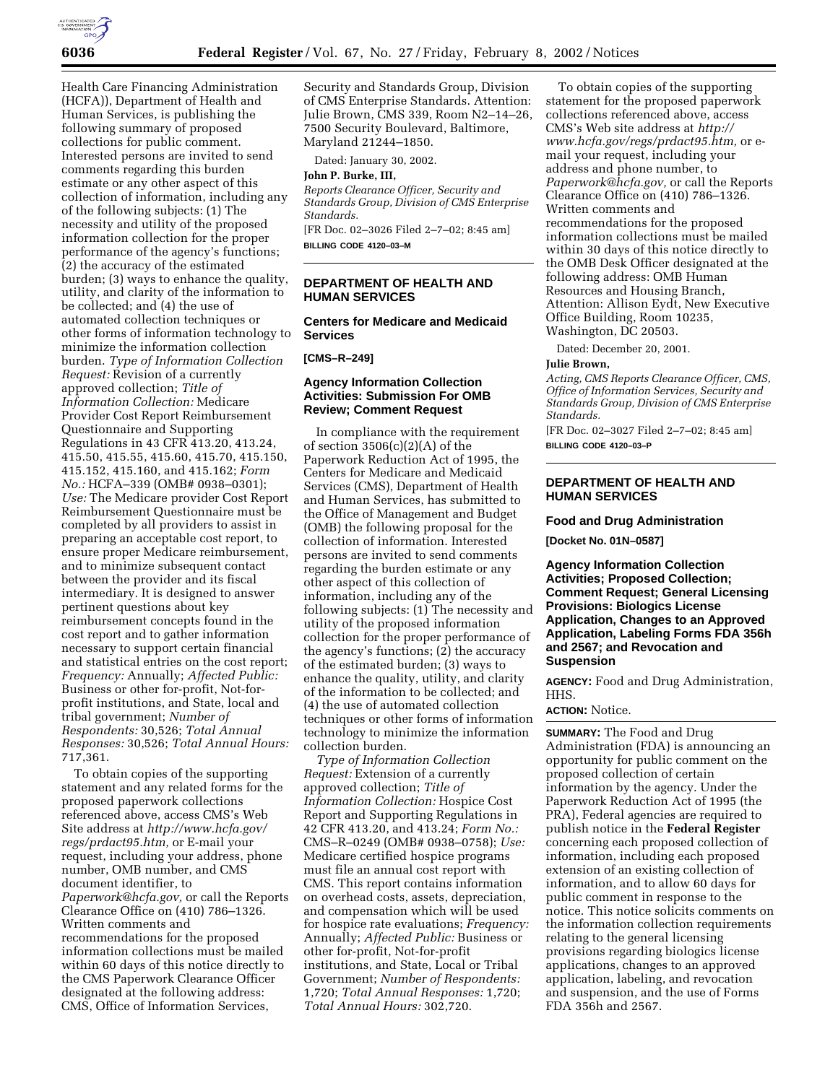

Health Care Financing Administration (HCFA)), Department of Health and Human Services, is publishing the following summary of proposed collections for public comment. Interested persons are invited to send comments regarding this burden estimate or any other aspect of this collection of information, including any of the following subjects: (1) The necessity and utility of the proposed information collection for the proper performance of the agency's functions; (2) the accuracy of the estimated burden; (3) ways to enhance the quality, utility, and clarity of the information to be collected; and (4) the use of automated collection techniques or other forms of information technology to minimize the information collection burden. *Type of Information Collection Request:* Revision of a currently approved collection; *Title of Information Collection:* Medicare Provider Cost Report Reimbursement Questionnaire and Supporting Regulations in 43 CFR 413.20, 413.24, 415.50, 415.55, 415.60, 415.70, 415.150, 415.152, 415.160, and 415.162; *Form No.:* HCFA–339 (OMB# 0938–0301); *Use:* The Medicare provider Cost Report Reimbursement Questionnaire must be completed by all providers to assist in preparing an acceptable cost report, to ensure proper Medicare reimbursement, and to minimize subsequent contact between the provider and its fiscal intermediary. It is designed to answer pertinent questions about key reimbursement concepts found in the cost report and to gather information necessary to support certain financial and statistical entries on the cost report; *Frequency:* Annually; *Affected Public:* Business or other for-profit, Not-forprofit institutions, and State, local and tribal government; *Number of Respondents:* 30,526; *Total Annual Responses:* 30,526; *Total Annual Hours:* 717,361.

To obtain copies of the supporting statement and any related forms for the proposed paperwork collections referenced above, access CMS's Web Site address at *http://www.hcfa.gov/ regs/prdact95.htm,* or E-mail your request, including your address, phone number, OMB number, and CMS document identifier, to *Paperwork@hcfa.gov,* or call the Reports Clearance Office on (410) 786–1326. Written comments and recommendations for the proposed information collections must be mailed within 60 days of this notice directly to the CMS Paperwork Clearance Officer designated at the following address: CMS, Office of Information Services,

Security and Standards Group, Division of CMS Enterprise Standards. Attention: Julie Brown, CMS 339, Room N2–14–26, 7500 Security Boulevard, Baltimore, Maryland 21244–1850.

Dated: January 30, 2002.

#### **John P. Burke, III,**

*Reports Clearance Officer, Security and Standards Group, Division of CMS Enterprise Standards.*

[FR Doc. 02–3026 Filed 2–7–02; 8:45 am] **BILLING CODE 4120–03–M**

## **DEPARTMENT OF HEALTH AND HUMAN SERVICES**

## **Centers for Medicare and Medicaid Services**

**[CMS–R–249]**

# **Agency Information Collection Activities: Submission For OMB Review; Comment Request**

In compliance with the requirement of section 3506(c)(2)(A) of the Paperwork Reduction Act of 1995, the Centers for Medicare and Medicaid Services (CMS), Department of Health and Human Services, has submitted to the Office of Management and Budget (OMB) the following proposal for the collection of information. Interested persons are invited to send comments regarding the burden estimate or any other aspect of this collection of information, including any of the following subjects: (1) The necessity and utility of the proposed information collection for the proper performance of the agency's functions; (2) the accuracy of the estimated burden; (3) ways to enhance the quality, utility, and clarity of the information to be collected; and (4) the use of automated collection techniques or other forms of information technology to minimize the information collection burden.

*Type of Information Collection Request:* Extension of a currently approved collection; *Title of Information Collection:* Hospice Cost Report and Supporting Regulations in 42 CFR 413.20, and 413.24; *Form No.:* CMS–R–0249 (OMB# 0938–0758); *Use:* Medicare certified hospice programs must file an annual cost report with CMS. This report contains information on overhead costs, assets, depreciation, and compensation which will be used for hospice rate evaluations; *Frequency:* Annually; *Affected Public:* Business or other for-profit, Not-for-profit institutions, and State, Local or Tribal Government; *Number of Respondents:* 1,720; *Total Annual Responses:* 1,720; *Total Annual Hours:* 302,720.

To obtain copies of the supporting statement for the proposed paperwork collections referenced above, access CMS's Web site address at *http:// www.hcfa.gov/regs/prdact95.htm,* or email your request, including your address and phone number, to *Paperwork@hcfa.gov,* or call the Reports Clearance Office on (410) 786–1326. Written comments and recommendations for the proposed information collections must be mailed within 30 days of this notice directly to the OMB Desk Officer designated at the following address: OMB Human Resources and Housing Branch, Attention: Allison Eydt, New Executive Office Building, Room 10235, Washington, DC 20503.

Dated: December 20, 2001.

#### **Julie Brown,**

*Acting, CMS Reports Clearance Officer, CMS, Office of Information Services, Security and Standards Group, Division of CMS Enterprise Standards.*

[FR Doc. 02–3027 Filed 2–7–02; 8:45 am] **BILLING CODE 4120–03–P**

## **DEPARTMENT OF HEALTH AND HUMAN SERVICES**

#### **Food and Drug Administration**

**[Docket No. 01N–0587]**

**Agency Information Collection Activities; Proposed Collection; Comment Request; General Licensing Provisions: Biologics License Application, Changes to an Approved Application, Labeling Forms FDA 356h and 2567; and Revocation and Suspension**

**AGENCY:** Food and Drug Administration, HHS.

## **ACTION:** Notice.

**SUMMARY:** The Food and Drug Administration (FDA) is announcing an opportunity for public comment on the proposed collection of certain information by the agency. Under the Paperwork Reduction Act of 1995 (the PRA), Federal agencies are required to publish notice in the **Federal Register** concerning each proposed collection of information, including each proposed extension of an existing collection of information, and to allow 60 days for public comment in response to the notice. This notice solicits comments on the information collection requirements relating to the general licensing provisions regarding biologics license applications, changes to an approved application, labeling, and revocation and suspension, and the use of Forms FDA 356h and 2567.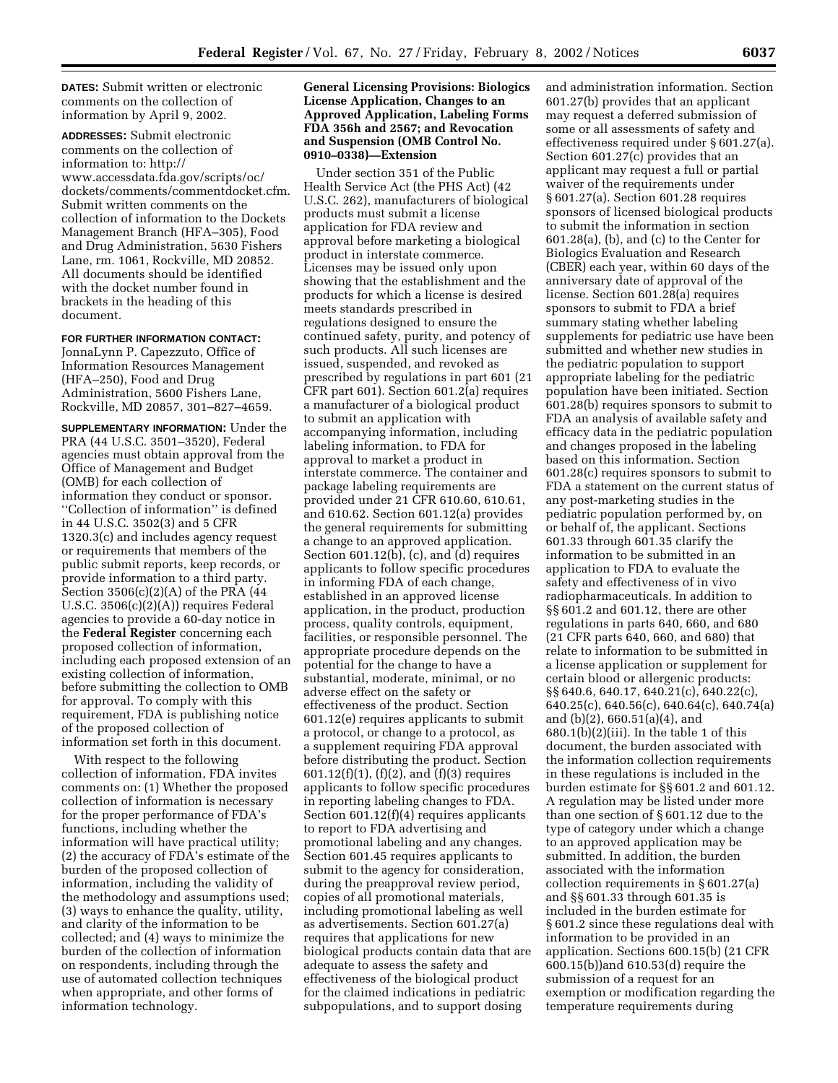**DATES:** Submit written or electronic comments on the collection of information by April 9, 2002.

**ADDRESSES:** Submit electronic comments on the collection of information to: http:// www.accessdata.fda.gov/scripts/oc/ dockets/comments/commentdocket.cfm. Submit written comments on the collection of information to the Dockets Management Branch (HFA–305), Food and Drug Administration, 5630 Fishers Lane, rm. 1061, Rockville, MD 20852. All documents should be identified with the docket number found in brackets in the heading of this document.

### **FOR FURTHER INFORMATION CONTACT:**

JonnaLynn P. Capezzuto, Office of Information Resources Management (HFA–250), Food and Drug Administration, 5600 Fishers Lane, Rockville, MD 20857, 301–827–4659.

**SUPPLEMENTARY INFORMATION:** Under the PRA (44 U.S.C. 3501–3520), Federal agencies must obtain approval from the Office of Management and Budget (OMB) for each collection of information they conduct or sponsor. ''Collection of information'' is defined in 44 U.S.C. 3502(3) and 5 CFR 1320.3(c) and includes agency request or requirements that members of the public submit reports, keep records, or provide information to a third party. Section 3506(c)(2)(A) of the PRA (44 U.S.C. 3506(c)(2)(A)) requires Federal agencies to provide a 60-day notice in the **Federal Register** concerning each proposed collection of information, including each proposed extension of an existing collection of information, before submitting the collection to OMB for approval. To comply with this requirement, FDA is publishing notice of the proposed collection of information set forth in this document.

With respect to the following collection of information, FDA invites comments on: (1) Whether the proposed collection of information is necessary for the proper performance of FDA's functions, including whether the information will have practical utility; (2) the accuracy of FDA's estimate of the burden of the proposed collection of information, including the validity of the methodology and assumptions used; (3) ways to enhance the quality, utility, and clarity of the information to be collected; and (4) ways to minimize the burden of the collection of information on respondents, including through the use of automated collection techniques when appropriate, and other forms of information technology.

## **General Licensing Provisions: Biologics License Application, Changes to an Approved Application, Labeling Forms FDA 356h and 2567; and Revocation and Suspension (OMB Control No. 0910–0338)—Extension**

Under section 351 of the Public Health Service Act (the PHS Act) (42 U.S.C. 262), manufacturers of biological products must submit a license application for FDA review and approval before marketing a biological product in interstate commerce. Licenses may be issued only upon showing that the establishment and the products for which a license is desired meets standards prescribed in regulations designed to ensure the continued safety, purity, and potency of such products. All such licenses are issued, suspended, and revoked as prescribed by regulations in part 601 (21 CFR part 601). Section 601.2(a) requires a manufacturer of a biological product to submit an application with accompanying information, including labeling information, to FDA for approval to market a product in interstate commerce. The container and package labeling requirements are provided under 21 CFR 610.60, 610.61, and 610.62. Section 601.12(a) provides the general requirements for submitting a change to an approved application. Section 601.12(b), (c), and (d) requires applicants to follow specific procedures in informing FDA of each change, established in an approved license application, in the product, production process, quality controls, equipment, facilities, or responsible personnel. The appropriate procedure depends on the potential for the change to have a substantial, moderate, minimal, or no adverse effect on the safety or effectiveness of the product. Section 601.12(e) requires applicants to submit a protocol, or change to a protocol, as a supplement requiring FDA approval before distributing the product. Section 601.12(f)(1), (f)(2), and (f)(3) requires applicants to follow specific procedures in reporting labeling changes to FDA. Section 601.12(f)(4) requires applicants to report to FDA advertising and promotional labeling and any changes. Section 601.45 requires applicants to submit to the agency for consideration, during the preapproval review period, copies of all promotional materials, including promotional labeling as well as advertisements. Section 601.27(a) requires that applications for new biological products contain data that are adequate to assess the safety and effectiveness of the biological product for the claimed indications in pediatric subpopulations, and to support dosing

and administration information. Section 601.27(b) provides that an applicant may request a deferred submission of some or all assessments of safety and effectiveness required under § 601.27(a). Section 601.27(c) provides that an applicant may request a full or partial waiver of the requirements under § 601.27(a). Section 601.28 requires sponsors of licensed biological products to submit the information in section 601.28(a), (b), and (c) to the Center for Biologics Evaluation and Research (CBER) each year, within 60 days of the anniversary date of approval of the license. Section 601.28(a) requires sponsors to submit to FDA a brief summary stating whether labeling supplements for pediatric use have been submitted and whether new studies in the pediatric population to support appropriate labeling for the pediatric population have been initiated. Section 601.28(b) requires sponsors to submit to FDA an analysis of available safety and efficacy data in the pediatric population and changes proposed in the labeling based on this information. Section 601.28(c) requires sponsors to submit to FDA a statement on the current status of any post-marketing studies in the pediatric population performed by, on or behalf of, the applicant. Sections 601.33 through 601.35 clarify the information to be submitted in an application to FDA to evaluate the safety and effectiveness of in vivo radiopharmaceuticals. In addition to §§ 601.2 and 601.12, there are other regulations in parts 640, 660, and 680 (21 CFR parts 640, 660, and 680) that relate to information to be submitted in a license application or supplement for certain blood or allergenic products: §§ 640.6, 640.17, 640.21(c), 640.22(c), 640.25(c), 640.56(c), 640.64(c), 640.74(a) and (b)(2), 660.51(a)(4), and  $680.1(b)(2)(iii)$ . In the table 1 of this document, the burden associated with the information collection requirements in these regulations is included in the burden estimate for §§ 601.2 and 601.12. A regulation may be listed under more than one section of § 601.12 due to the type of category under which a change to an approved application may be submitted. In addition, the burden associated with the information collection requirements in § 601.27(a) and §§ 601.33 through 601.35 is included in the burden estimate for § 601.2 since these regulations deal with information to be provided in an application. Sections 600.15(b) (21 CFR 600.15(b))and 610.53(d) require the submission of a request for an exemption or modification regarding the temperature requirements during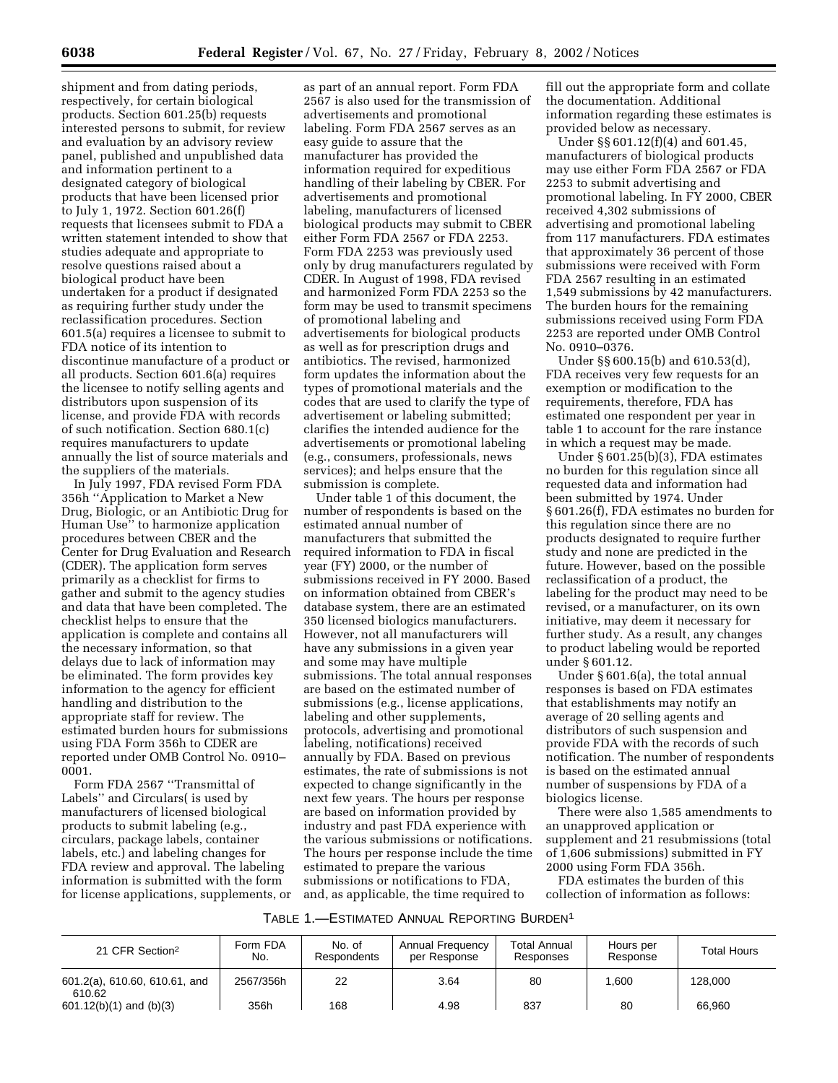shipment and from dating periods, respectively, for certain biological products. Section 601.25(b) requests interested persons to submit, for review and evaluation by an advisory review panel, published and unpublished data and information pertinent to a designated category of biological products that have been licensed prior to July 1, 1972. Section 601.26(f) requests that licensees submit to FDA a written statement intended to show that studies adequate and appropriate to resolve questions raised about a biological product have been undertaken for a product if designated as requiring further study under the reclassification procedures. Section 601.5(a) requires a licensee to submit to FDA notice of its intention to discontinue manufacture of a product or all products. Section 601.6(a) requires the licensee to notify selling agents and distributors upon suspension of its license, and provide FDA with records of such notification. Section 680.1(c) requires manufacturers to update annually the list of source materials and the suppliers of the materials.

In July 1997, FDA revised Form FDA 356h ''Application to Market a New Drug, Biologic, or an Antibiotic Drug for Human Use'' to harmonize application procedures between CBER and the Center for Drug Evaluation and Research (CDER). The application form serves primarily as a checklist for firms to gather and submit to the agency studies and data that have been completed. The checklist helps to ensure that the application is complete and contains all the necessary information, so that delays due to lack of information may be eliminated. The form provides key information to the agency for efficient handling and distribution to the appropriate staff for review. The estimated burden hours for submissions using FDA Form 356h to CDER are reported under OMB Control No. 0910– 0001.

Form FDA 2567 ''Transmittal of Labels'' and Circulars( is used by manufacturers of licensed biological products to submit labeling (e.g., circulars, package labels, container labels, etc.) and labeling changes for FDA review and approval. The labeling information is submitted with the form for license applications, supplements, or

as part of an annual report. Form FDA 2567 is also used for the transmission of advertisements and promotional labeling. Form FDA 2567 serves as an easy guide to assure that the manufacturer has provided the information required for expeditious handling of their labeling by CBER. For advertisements and promotional labeling, manufacturers of licensed biological products may submit to CBER either Form FDA 2567 or FDA 2253. Form FDA 2253 was previously used only by drug manufacturers regulated by CDER. In August of 1998, FDA revised and harmonized Form FDA 2253 so the form may be used to transmit specimens of promotional labeling and advertisements for biological products as well as for prescription drugs and antibiotics. The revised, harmonized form updates the information about the types of promotional materials and the codes that are used to clarify the type of advertisement or labeling submitted; clarifies the intended audience for the advertisements or promotional labeling (e.g., consumers, professionals, news services); and helps ensure that the submission is complete.

Under table 1 of this document, the number of respondents is based on the estimated annual number of manufacturers that submitted the required information to FDA in fiscal year (FY) 2000, or the number of submissions received in FY 2000. Based on information obtained from CBER's database system, there are an estimated 350 licensed biologics manufacturers. However, not all manufacturers will have any submissions in a given year and some may have multiple submissions. The total annual responses are based on the estimated number of submissions (e.g., license applications, labeling and other supplements, protocols, advertising and promotional labeling, notifications) received annually by FDA. Based on previous estimates, the rate of submissions is not expected to change significantly in the next few years. The hours per response are based on information provided by industry and past FDA experience with the various submissions or notifications. The hours per response include the time estimated to prepare the various submissions or notifications to FDA, and, as applicable, the time required to

fill out the appropriate form and collate the documentation. Additional information regarding these estimates is provided below as necessary.

Under §§ 601.12(f)(4) and 601.45, manufacturers of biological products may use either Form FDA 2567 or FDA 2253 to submit advertising and promotional labeling. In FY 2000, CBER received 4,302 submissions of advertising and promotional labeling from 117 manufacturers. FDA estimates that approximately 36 percent of those submissions were received with Form FDA 2567 resulting in an estimated 1,549 submissions by 42 manufacturers. The burden hours for the remaining submissions received using Form FDA 2253 are reported under OMB Control No. 0910–0376.

Under §§ 600.15(b) and 610.53(d), FDA receives very few requests for an exemption or modification to the requirements, therefore, FDA has estimated one respondent per year in table 1 to account for the rare instance in which a request may be made.

Under § 601.25(b)(3), FDA estimates no burden for this regulation since all requested data and information had been submitted by 1974. Under § 601.26(f), FDA estimates no burden for this regulation since there are no products designated to require further study and none are predicted in the future. However, based on the possible reclassification of a product, the labeling for the product may need to be revised, or a manufacturer, on its own initiative, may deem it necessary for further study. As a result, any changes to product labeling would be reported under § 601.12.

Under § 601.6(a), the total annual responses is based on FDA estimates that establishments may notify an average of 20 selling agents and distributors of such suspension and provide FDA with the records of such notification. The number of respondents is based on the estimated annual number of suspensions by FDA of a biologics license.

There were also 1,585 amendments to an unapproved application or supplement and 21 resubmissions (total of 1,606 submissions) submitted in FY 2000 using Form FDA 356h.

FDA estimates the burden of this collection of information as follows:

| TABLE 1.—ESTIMATED ANNUAL REPORTING BURDEN <sup>1</sup> |
|---------------------------------------------------------|
|---------------------------------------------------------|

| 21 CFR Section <sup>2</sup>             | Form FDA<br>No. | No. of<br><b>Respondents</b> | Annual Frequency<br>per Response | <b>Total Annual</b><br>Responses | Hours per<br>Response | <b>Total Hours</b> |
|-----------------------------------------|-----------------|------------------------------|----------------------------------|----------------------------------|-----------------------|--------------------|
| 601.2(a), 610.60, 610.61, and<br>610.62 | 2567/356h       | 22                           | 3.64                             | 80                               | 1.600                 | 128,000            |
| $601.12(b)(1)$ and $(b)(3)$             | 356h            | 168                          | 4.98                             | 837                              | 80                    | 66.960             |